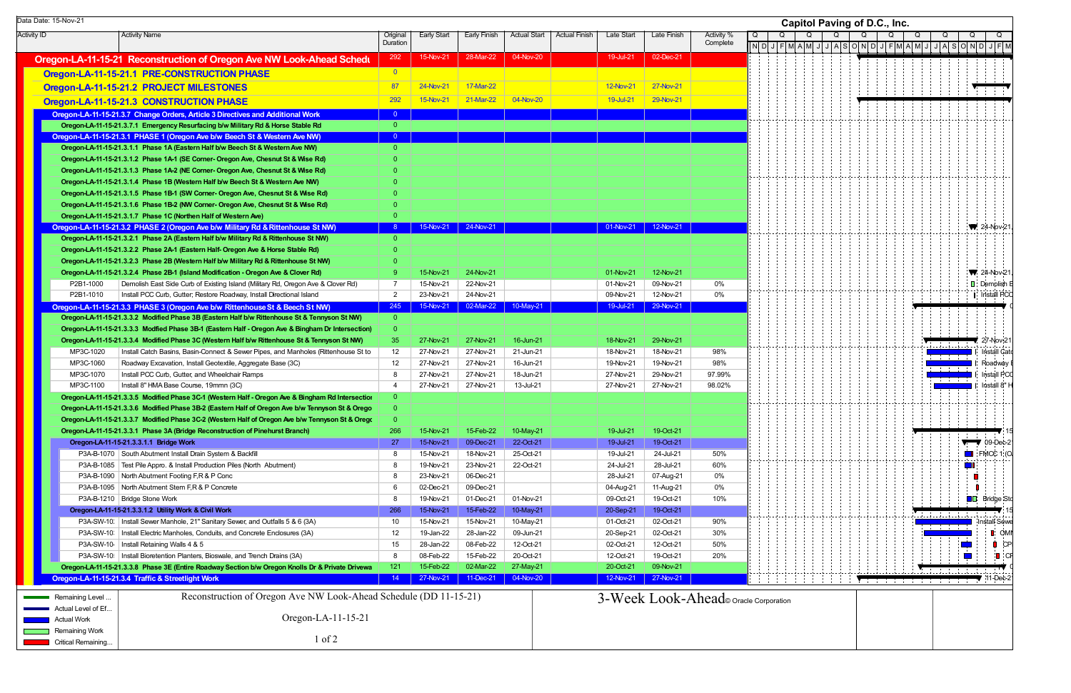| Data Date: 15-Nov-21                       |                        |                                                                                                                                                           |                 |                        |                        |                        |                                    |                        |                                      |                                           |  | <b>Capitol Paving of D.C., Inc.</b> |  |  |  |                                                                                                                                                                          |                                                           |  |  |  |
|--------------------------------------------|------------------------|-----------------------------------------------------------------------------------------------------------------------------------------------------------|-----------------|------------------------|------------------------|------------------------|------------------------------------|------------------------|--------------------------------------|-------------------------------------------|--|-------------------------------------|--|--|--|--------------------------------------------------------------------------------------------------------------------------------------------------------------------------|-----------------------------------------------------------|--|--|--|
| <b>Activity ID</b><br><b>Activity Name</b> |                        |                                                                                                                                                           | Original        | Early Start            | Early Finish           | <b>Actual Start</b>    | Late Start<br><b>Actual Finish</b> | Late Finish            | Activity %                           | Q<br>Q<br>Q<br>O<br>Q<br>Q<br>Q<br>Q<br>Q |  |                                     |  |  |  |                                                                                                                                                                          |                                                           |  |  |  |
|                                            |                        |                                                                                                                                                           | Duration        |                        |                        |                        |                                    |                        | Complete                             |                                           |  |                                     |  |  |  |                                                                                                                                                                          | N D J F M A M J J A S O N D J F M A M J J A S O N D J F M |  |  |  |
|                                            |                        | Oregon-LA-11-15-21 Reconstruction of Oregon Ave NW Look-Ahead Schedu                                                                                      | 292             | 15-Nov-21              | 28-Mar-22              | 04-Nov-20              | 19-Jul-21                          | 02-Dec-21              |                                      |                                           |  |                                     |  |  |  |                                                                                                                                                                          |                                                           |  |  |  |
|                                            |                        | Oregon-LA-11-15-21.1 PRE-CONSTRUCTION PHASE                                                                                                               | $\overline{0}$  |                        |                        |                        |                                    |                        |                                      |                                           |  |                                     |  |  |  |                                                                                                                                                                          |                                                           |  |  |  |
|                                            |                        | Oregon-LA-11-15-21.2 PROJECT MILESTONES                                                                                                                   | 87              | 24-Nov-21              | 17-Mar-22              |                        | <b>12-Nov-21</b>                   | 27-Nov-21              |                                      |                                           |  |                                     |  |  |  |                                                                                                                                                                          |                                                           |  |  |  |
|                                            |                        | Oregon-LA-11-15-21.3 CONSTRUCTION PHASE                                                                                                                   | 292             | 15-Nov-21              | 21-Mar-22              | 04-Nov-20              | 19-Jul-21                          | 29-Nov-21              |                                      |                                           |  |                                     |  |  |  |                                                                                                                                                                          |                                                           |  |  |  |
|                                            |                        | Oregon-LA-11-15-21.3.7 Change Orders, Article 3 Directives and Additional Work                                                                            |                 |                        |                        |                        |                                    |                        |                                      |                                           |  |                                     |  |  |  |                                                                                                                                                                          |                                                           |  |  |  |
|                                            |                        | Oregon-LA-11-15-21.3.7.1 Emergency Resurfacing b/w Military Rd & Horse Stable Rd                                                                          | $\overline{0}$  |                        |                        |                        |                                    |                        |                                      |                                           |  |                                     |  |  |  |                                                                                                                                                                          |                                                           |  |  |  |
|                                            |                        | Oregon-LA-11-15-21.3.1 PHASE 1 (Oregon Ave b/w Beech St & Western Ave NW)                                                                                 | $\Omega$        |                        |                        |                        |                                    |                        |                                      |                                           |  |                                     |  |  |  |                                                                                                                                                                          |                                                           |  |  |  |
|                                            |                        | Oregon-LA-11-15-21.3.1.1 Phase 1A (Eastern Half b/w Beech St & Western Ave NW)                                                                            | $\overline{0}$  |                        |                        |                        |                                    |                        |                                      |                                           |  |                                     |  |  |  |                                                                                                                                                                          |                                                           |  |  |  |
|                                            |                        | Oregon-LA-11-15-21.3.1.2 Phase 1A-1 (SE Corner- Oregon Ave, Chesnut St & Wise Rd)                                                                         |                 |                        |                        |                        |                                    |                        |                                      |                                           |  |                                     |  |  |  |                                                                                                                                                                          |                                                           |  |  |  |
|                                            |                        | Oregon-LA-11-15-21.3.1.3 Phase 1A-2 (NE Corner- Oregon Ave, Chesnut St & Wise Rd)                                                                         | $\Omega$        |                        |                        |                        |                                    |                        |                                      |                                           |  |                                     |  |  |  |                                                                                                                                                                          |                                                           |  |  |  |
|                                            |                        | Oregon-LA-11-15-21.3.1.4 Phase 1B (Western Half b/w Beech St & Western Ave NW)                                                                            |                 |                        |                        |                        |                                    |                        |                                      |                                           |  |                                     |  |  |  |                                                                                                                                                                          |                                                           |  |  |  |
|                                            |                        | Oregon-LA-11-15-21.3.1.5 Phase 1B-1 (SW Corner- Oregon Ave, Chesnut St & Wise Rd)                                                                         |                 |                        |                        |                        |                                    |                        |                                      |                                           |  |                                     |  |  |  |                                                                                                                                                                          |                                                           |  |  |  |
|                                            |                        | Oregon-LA-11-15-21.3.1.6 Phase 1B-2 (NW Corner- Oregon Ave, Chesnut St & Wise Rd)                                                                         | $\Omega$        |                        |                        |                        |                                    |                        |                                      |                                           |  |                                     |  |  |  |                                                                                                                                                                          |                                                           |  |  |  |
|                                            |                        | Oregon-LA-11-15-21.3.1.7 Phase 1C (Northen Half of Western Ave)                                                                                           | $\Omega$        |                        |                        |                        |                                    |                        |                                      |                                           |  |                                     |  |  |  |                                                                                                                                                                          |                                                           |  |  |  |
|                                            |                        | Oregon-LA-11-15-21.3.2 PHASE 2 (Oregon Ave b/w Military Rd & Rittenhouse St NW)                                                                           |                 | 15-Nov-21              | 24-Nov-21              |                        | 01-Nov-21                          | 12-Nov-21              |                                      |                                           |  |                                     |  |  |  |                                                                                                                                                                          | $\sqrt{24-Nov-2}$                                         |  |  |  |
|                                            |                        | Oregon-LA-11-15-21.3.2.1 Phase 2A (Eastern Half b/w Military Rd & Rittenhouse St NW)                                                                      | $\overline{0}$  |                        |                        |                        |                                    |                        |                                      |                                           |  |                                     |  |  |  |                                                                                                                                                                          |                                                           |  |  |  |
|                                            |                        | Oregon-LA-11-15-21.3.2.2 Phase 2A-1 (Eastern Half- Oregon Ave & Horse Stable Rd)                                                                          | $\Omega$        |                        |                        |                        |                                    |                        |                                      |                                           |  |                                     |  |  |  |                                                                                                                                                                          |                                                           |  |  |  |
|                                            |                        | Oregon-LA-11-15-21.3.2.3 Phase 2B (Western Half b/w Military Rd & Rittenhouse St NW)                                                                      | $\Omega$        |                        |                        |                        |                                    |                        |                                      |                                           |  |                                     |  |  |  |                                                                                                                                                                          |                                                           |  |  |  |
|                                            |                        | Oregon-LA-11-15-21.3.2.4 Phase 2B-1 (Island Modification - Oregon Ave & Clover Rd)                                                                        | -9              | 15-Nov-21              | 24-Nov-21              |                        | 01-Nov-21                          | 12-Nov-21              | 0%                                   |                                           |  |                                     |  |  |  |                                                                                                                                                                          | $\sqrt{24-Nov-21}$<br>$\blacksquare$ : Demolish           |  |  |  |
|                                            | P2B1-1000<br>P2B1-1010 | Demolish East Side Curb of Existing Island (Military Rd, Oregon Ave & Clover Rd)<br>Install PCC Curb, Gutter; Restore Roadway, Install Directional Island | 7<br>2          | 15-Nov-21<br>23-Nov-21 | 22-Nov-21<br>24-Nov-21 |                        | 01-Nov-21<br>09-Nov-21             | 09-Nov-21<br>12-Nov-21 | 0%                                   |                                           |  |                                     |  |  |  |                                                                                                                                                                          | Install PC                                                |  |  |  |
|                                            |                        | Oregon-LA-11-15-21.3.3 PHASE 3 (Oregon Ave b/w Rittenhouse St & Beech St NW)                                                                              | 245             | 15-Nov-21              | 02-Mar-22              | 10-May-21              | 19-Jul-21                          | 29-Nov-21              |                                      |                                           |  |                                     |  |  |  |                                                                                                                                                                          |                                                           |  |  |  |
|                                            |                        | Oregon-LA-11-15-21.3.3.2 Modified Phase 3B (Eastern Half b/w Rittenhouse St & Tennyson St NW)                                                             | $\overline{0}$  |                        |                        |                        |                                    |                        |                                      |                                           |  |                                     |  |  |  |                                                                                                                                                                          |                                                           |  |  |  |
|                                            |                        | Oregon-LA-11-15-21.3.3.3 Modfied Phase 3B-1 (Eastern Half - Oregon Ave & Bingham Dr Intersection)                                                         | $\overline{0}$  |                        |                        |                        |                                    |                        |                                      |                                           |  |                                     |  |  |  |                                                                                                                                                                          |                                                           |  |  |  |
|                                            |                        | Oregon-LA-11-15-21.3.3.4 Modified Phase 3C (Western Half b/w Rittenhouse St & Tennyson St NW)                                                             | 35              | 27-Nov-21              | 27-Nov-21              | 16-Jun-21              | 18-Nov-21                          | 29-Nov-21              |                                      |                                           |  |                                     |  |  |  |                                                                                                                                                                          | 27-Nov-21                                                 |  |  |  |
|                                            | MP3C-1020              | Install Catch Basins, Basin-Connect & Sewer Pipes, and Manholes (Rittenhouse St to                                                                        | 12              | 27-Nov-21              | 27-Nov-21              | 21-Jun-21              | 18-Nov-21                          | 18-Nov-21              | 98%                                  |                                           |  |                                     |  |  |  |                                                                                                                                                                          | Install Cat                                               |  |  |  |
|                                            | MP3C-1060              | Roadway Excavation, Install Geotextile, Aggregate Base (3C)                                                                                               | 12              | 27-Nov-21              | 27-Nov-21              | 16-Jun-21              | 19-Nov-21                          | 19-Nov-21              | 98%                                  |                                           |  |                                     |  |  |  |                                                                                                                                                                          | Roadway                                                   |  |  |  |
|                                            | MP3C-1070              | Install PCC Curb, Gutter, and Wheelchair Ramps                                                                                                            | 8               | 27-Nov-21              | 27-Nov-21              | 18-Jun-21              | 27-Nov-21                          | 29-Nov-21              | 97.99%                               |                                           |  |                                     |  |  |  |                                                                                                                                                                          | Install PC                                                |  |  |  |
|                                            | MP3C-1100              | Install 8" HMA Base Course, 19mmn (3C)                                                                                                                    | $\overline{4}$  | 27-Nov-21              | 27-Nov-21              | 13-Jul-21              | 27-Nov-21                          | 27-Nov-21              | 98.02%                               |                                           |  |                                     |  |  |  |                                                                                                                                                                          | Install 8"                                                |  |  |  |
|                                            |                        | Oregon-LA-11-15-21.3.3.5 Modified Phase 3C-1 (Western Half - Oregon Ave & Bingham Rd Intersection                                                         | $\overline{0}$  |                        |                        |                        |                                    |                        |                                      |                                           |  |                                     |  |  |  |                                                                                                                                                                          |                                                           |  |  |  |
|                                            |                        | Oregon-LA-11-15-21.3.3.6 Modified Phase 3B-2 (Eastern Half of Oregon Ave b/w Tennyson St & Orego                                                          | $\Omega$        |                        |                        |                        |                                    |                        |                                      |                                           |  |                                     |  |  |  |                                                                                                                                                                          |                                                           |  |  |  |
|                                            |                        | Oregon-LA-11-15-21.3.3.7 Modified Phase 3C-2 (Western Half of Oregon Ave b/w Tennyson St & Oregon                                                         | $\Omega$        |                        |                        |                        |                                    |                        |                                      |                                           |  |                                     |  |  |  |                                                                                                                                                                          |                                                           |  |  |  |
|                                            |                        | Oregon-LA-11-15-21.3.3.1 Phase 3A (Bridge Reconstruction of Pinehurst Branch)                                                                             | 266             | 15-Nov-21              | 15-Feb-22              | 10-May-21              | 19-Jul-21                          | 19-Oct-21              |                                      |                                           |  |                                     |  |  |  |                                                                                                                                                                          |                                                           |  |  |  |
|                                            |                        | Oregon-LA-11-15-21.3.3.1.1 Bridge Work                                                                                                                    | 27              | 15-Nov-21              | 09-Dec-21              | 22-Oct-21              | 19-Jul-21                          | 19-Oct-21              |                                      |                                           |  |                                     |  |  |  |                                                                                                                                                                          | $\sqrt{10}$ 09-Dec-2                                      |  |  |  |
|                                            |                        | P3A-B-1070 South Abutment Install Drain System & Backfill                                                                                                 | 8               | 15-Nov-21              | 18-Nov-21              | 25-Oct-21              | 19-Jul-21                          | 24-Jul-21              | 50%                                  |                                           |  |                                     |  |  |  |                                                                                                                                                                          | $\blacksquare$ FMCC 1 (O                                  |  |  |  |
|                                            |                        | P3A-B-1085   Test Pile Appro. & Install Production Piles (North Abutment)                                                                                 | -8              | 19-Nov-21              | 23-Nov-21              | 22-Oct-21              | 24-Jul-21                          | 28-Jul-21              | 60%                                  |                                           |  |                                     |  |  |  |                                                                                                                                                                          | W                                                         |  |  |  |
|                                            |                        | P3A-B-1090   North Abutment Footing F,R & P Conc                                                                                                          | 8               | 23-Nov-21              | 06-Dec-21              |                        | 28-Jul-21                          | 07-Aug-21              | 0%                                   |                                           |  |                                     |  |  |  |                                                                                                                                                                          |                                                           |  |  |  |
|                                            |                        | P3A-B-1095 North Abutment Stem F, R & P Concrete                                                                                                          | 6               | 02-Dec-21              | 09-Dec-21              |                        | 04-Aug-21                          | 11-Aug-21              | 0%                                   |                                           |  |                                     |  |  |  |                                                                                                                                                                          |                                                           |  |  |  |
|                                            |                        | P3A-B-1210   Bridge Stone Work                                                                                                                            | 8               | 19-Nov-21              | 01-Dec-21              | 01-Nov-21              | 09-Oct-21                          | 19-Oct-21              | 10%                                  |                                           |  |                                     |  |  |  |                                                                                                                                                                          | <b>OD</b> Bridge Sto                                      |  |  |  |
|                                            |                        | Oregon-LA-11-15-21.3.3.1.2 Utility Work & Civil Work<br>P3A-SW-10:   Install Sewer Manhole, 21" Sanitary Sewer, and Outfalls 5 & 6 (3A)                   | 266             | 15-Nov-21              | 15-Feb-22<br>15-Nov-21 | 10-May-21              | 20-Sep-21                          | 19-Oct-21<br>02-Oct-21 | 90%                                  |                                           |  |                                     |  |  |  | $\label{eq:2.1} \begin{split} \mathcal{A} &= \mathcal{A} + \mathcal{A} + \mathcal{A} + \mathcal{A} + \mathcal{A} + \mathcal{A} + \mathcal{A} + \mathcal{A}, \end{split}$ | Install Sewe                                              |  |  |  |
|                                            |                        | P3A-SW-10:   Install Electric Manholes, Conduits, and Concrete Enclosures (3A)                                                                            | 10<br>12        | 15-Nov-21<br>19-Jan-22 | 28-Jan-22              | 10-May-21<br>09-Jun-21 | 01-Oct-21<br>20-Sep-21             | 02-Oct-21              | 30%                                  |                                           |  |                                     |  |  |  |                                                                                                                                                                          | <b>D</b> : OMI                                            |  |  |  |
|                                            |                        | P3A-SW-10   Install Retaining Walls 4 & 5                                                                                                                 | 15              | 28-Jan-22              | 08-Feb-22              | 12-Oct-21              | 02-Oct-21                          | 12-Oct-21              | 50%                                  |                                           |  |                                     |  |  |  |                                                                                                                                                                          | $\Box$ CP                                                 |  |  |  |
|                                            |                        | P3A-SW-10!   Install Bioretention Planters, Bioswale, and Trench Drains (3A)                                                                              | 8               | 08-Feb-22              | 15-Feb-22              | 20-Oct-21              | 12-Oct-21                          | 19-Oct-21              | 20%                                  |                                           |  |                                     |  |  |  |                                                                                                                                                                          | ା∎ ∶Cl<br><b>The Contract of Street</b>                   |  |  |  |
|                                            |                        | Oregon-LA-11-15-21.3.3.8 Phase 3E (Entire Roadway Section b/w Oregon Knolls Dr & Private Drivewa                                                          | 121             | 15-Feb-22              | 02-Mar-22              | 27-May-21              | 20-Oct-21                          | 09-Nov-21              |                                      |                                           |  |                                     |  |  |  |                                                                                                                                                                          |                                                           |  |  |  |
|                                            |                        | Oregon-LA-11-15-21.3.4 Traffic & Streetlight Work                                                                                                         | 14 <sup>2</sup> | 27-Nov-21              | 11-Dec-21              | 04-Nov-20              | 12-Nov-21                          | 27-Nov-21              |                                      |                                           |  |                                     |  |  |  | <b>Management and the contract of the contract of the contract of the contract of the contract of the contract of</b>                                                    | $11$ -Dec-2                                               |  |  |  |
|                                            |                        |                                                                                                                                                           |                 |                        |                        |                        |                                    |                        |                                      |                                           |  |                                     |  |  |  |                                                                                                                                                                          |                                                           |  |  |  |
|                                            | Remaining Level        | Reconstruction of Oregon Ave NW Look-Ahead Schedule (DD 11-15-21)                                                                                         |                 |                        |                        |                        |                                    |                        | 3-Week Look-Ahead onacle Corporation |                                           |  |                                     |  |  |  |                                                                                                                                                                          |                                                           |  |  |  |
|                                            | Actual Level of Ef     |                                                                                                                                                           |                 |                        |                        |                        |                                    |                        |                                      |                                           |  |                                     |  |  |  |                                                                                                                                                                          |                                                           |  |  |  |
|                                            | <b>Actual Work</b>     | Oregon-LA-11-15-21                                                                                                                                        |                 |                        |                        |                        |                                    |                        |                                      |                                           |  |                                     |  |  |  |                                                                                                                                                                          |                                                           |  |  |  |
|                                            | <b>Remaining Work</b>  | $1$ of $2$                                                                                                                                                |                 |                        |                        |                        |                                    |                        |                                      |                                           |  |                                     |  |  |  |                                                                                                                                                                          |                                                           |  |  |  |
|                                            | Critical Remaining.    |                                                                                                                                                           |                 |                        |                        |                        |                                    |                        |                                      |                                           |  |                                     |  |  |  |                                                                                                                                                                          |                                                           |  |  |  |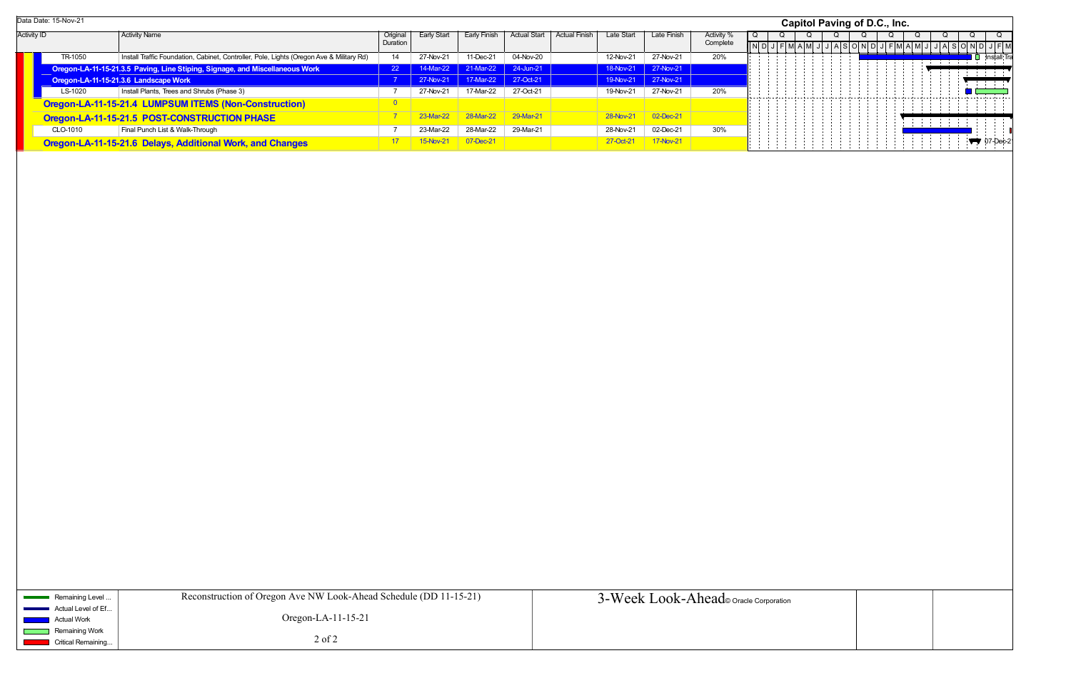|                    | Data Date: 15-Nov-21 |                                                                                          |           |                    |              |                     |                      |            |                    |            |  | Capitol Paving of D.C., Inc. |  |  |  |  |  |   |  |  |                                            |
|--------------------|----------------------|------------------------------------------------------------------------------------------|-----------|--------------------|--------------|---------------------|----------------------|------------|--------------------|------------|--|------------------------------|--|--|--|--|--|---|--|--|--------------------------------------------|
| <b>Activity ID</b> |                      | Activity Name                                                                            |           | <b>Early Start</b> | Early Finish | <b>Actual Start</b> | <b>Actual Finish</b> | Late Start | <b>Late Finish</b> | Activity % |  |                              |  |  |  |  |  |   |  |  |                                            |
|                    |                      |                                                                                          | Duration  |                    |              |                     |                      |            |                    | Complete   |  |                              |  |  |  |  |  |   |  |  |                                            |
|                    | TR-1050              | Install Traffic Foundation, Cabinet, Controller, Pole, Lights (Oregon Ave & Military Rd) | 14        | 27-Nov-21          | 11-Dec-21    | 04-Nov-20           |                      | 12-Nov-21  | 27-Nov-21          | 20%        |  |                              |  |  |  |  |  |   |  |  | lnstall Tra                                |
|                    |                      | Oregon-LA-11-15-21.3.5 Paving, Line Stiping, Signage, and Miscellaneous Work             | <b>22</b> | 14-Mar-22          | 21-Mar-22    | 24-Jun-21           |                      | 18-Nov-21  | 27-Nov-21          |            |  |                              |  |  |  |  |  |   |  |  |                                            |
|                    |                      | Oregon-LA-11-15-21.3.6 Landscape Work                                                    |           | 27-Nov-21          | 17-Mar-22    | 27-Oct-21           |                      | 19-Nov-21  | 27-Nov-21          |            |  |                              |  |  |  |  |  |   |  |  | <b>The Committee of Committee Programs</b> |
|                    | LS-1020              | Install Plants, Trees and Shrubs (Phase 3)                                               |           | 27-Nov-21          | 17-Mar-22    | 27-Oct-21           |                      | 19-Nov-21  | 27-Nov-21          | 20%        |  |                              |  |  |  |  |  |   |  |  |                                            |
|                    |                      | Oregon-LA-11-15-21.4 LUMPSUM ITEMS (Non-Construction)                                    |           |                    |              |                     |                      |            |                    |            |  |                              |  |  |  |  |  |   |  |  |                                            |
|                    |                      | Oregon-LA-11-15-21.5 POST-CONSTRUCTION PHASE                                             |           | 23-Mar-22          | 28-Mar-22    | 29-Mar-21           |                      | 28-Nov-21  | 02-Dec-21          |            |  |                              |  |  |  |  |  |   |  |  |                                            |
|                    | CLO-1010             | Final Punch List & Walk-Through                                                          |           | 23-Mar-22          | 28-Mar-22    | 29-Mar-21           |                      | 28-Nov-21  | 02-Dec-21          | 30%        |  |                              |  |  |  |  |  | . |  |  |                                            |
|                    |                      | Oregon-LA-11-15-21.6 Delays, Additional Work, and Changes                                |           | 15-Nov-21          | 07-Dec-21    |                     |                      | 27-Oct-21  | <b>17-Nov-21</b>   |            |  |                              |  |  |  |  |  |   |  |  |                                            |
|                    |                      |                                                                                          |           |                    |              |                     |                      |            |                    |            |  |                              |  |  |  |  |  |   |  |  |                                            |
|                    |                      |                                                                                          |           |                    |              |                     |                      |            |                    |            |  |                              |  |  |  |  |  |   |  |  |                                            |
|                    |                      |                                                                                          |           |                    |              |                     |                      |            |                    |            |  |                              |  |  |  |  |  |   |  |  |                                            |
|                    |                      |                                                                                          |           |                    |              |                     |                      |            |                    |            |  |                              |  |  |  |  |  |   |  |  |                                            |

| Remaining Level               | Reconstruction of Oregon Ave NW Look-Ahead Schedule (DD 11-15-21) | 3-Week Look-Ahead oracle Corporation |
|-------------------------------|-------------------------------------------------------------------|--------------------------------------|
| Actual Level of Ef            |                                                                   |                                      |
| Actual Work<br>Remaining Work | Oregon-LA- $11-15-21$                                             |                                      |
| Critical Remaining            | $2$ of $2$                                                        |                                      |
|                               |                                                                   |                                      |

| n |  |
|---|--|
|   |  |
|   |  |
|   |  |